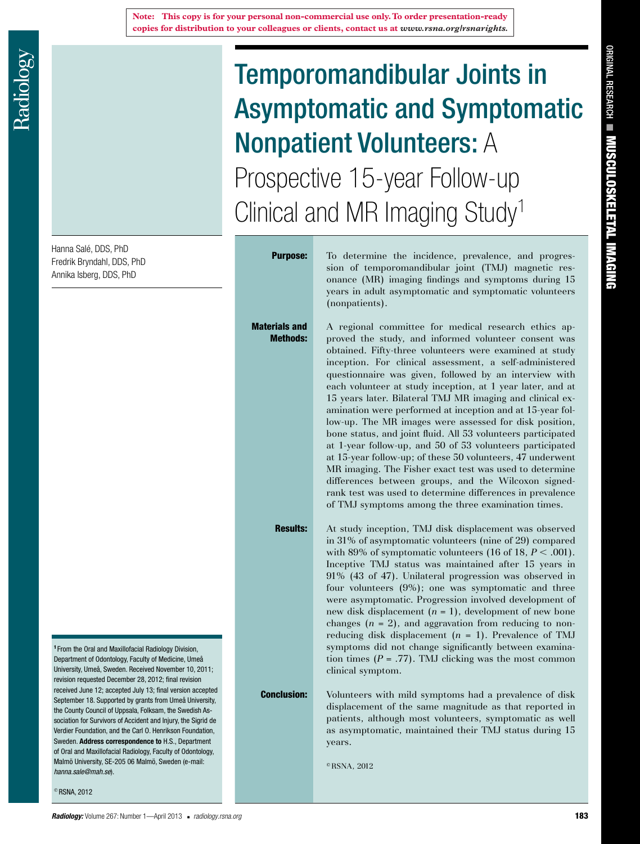**Note: This copy is for your personal non-commercial use only. To order presentation-ready copies for distribution to your colleagues or clients, contact us at** *www.rsna.org/rsnarights.*

# Radiology

Temporomandibular Joints in Asymptomatic and Symptomatic Nonpatient Volunteers: A Prospective 15-year Follow-up Clinical and MR Imaging Study<sup>1</sup>

Hanna Salé, DDS, PhD Fredrik Bryndahl, DDS, PhD Annika Isberg, DDS, PhD

<sup>1</sup> From the Oral and Maxillofacial Radiology Division, Department of Odontology, Faculty of Medicine, Umeå University, Umeå, Sweden. Received November 10, 2011; revision requested December 28, 2012; final revision received June 12; accepted July 13; final version accepted September 18. Supported by grants from Umeå University, the County Council of Uppsala, Folksam, the Swedish Association for Survivors of Accident and Injury, the Sigrid de Verdier Foundation, and the Carl O. Henrikson Foundation, Sweden. **Address correspondence to** H.S., Department of Oral and Maxillofacial Radiology, Faculty of Odontology, Malmö University, SE-205 06 Malmö, Sweden (e-mail: *hanna.sale@mah.se*).

 $^{\circ}$  RSNA, 2012

Materials and Methods:

**Purpose:** To determine the incidence, prevalence, and progression of temporomandibular joint (TMJ) magnetic resonance (MR) imaging findings and symptoms during 15 years in adult asymptomatic and symptomatic volunteers (nonpatients).

> A regional committee for medical research ethics approved the study, and informed volunteer consent was obtained. Fifty-three volunteers were examined at study inception. For clinical assessment, a self-administered questionnaire was given, followed by an interview with each volunteer at study inception, at 1 year later, and at 15 years later. Bilateral TMJ MR imaging and clinical examination were performed at inception and at 15-year follow-up. The MR images were assessed for disk position, bone status, and joint fluid. All 53 volunteers participated at 1-year follow-up, and 50 of 53 volunteers participated at 15-year follow-up; of these 50 volunteers, 47 underwent MR imaging. The Fisher exact test was used to determine differences between groups, and the Wilcoxon signedrank test was used to determine differences in prevalence of TMJ symptoms among the three examination times.

> in 31% of asymptomatic volunteers (nine of 29) compared with 89% of symptomatic volunteers  $(16$  of  $18, P < .001)$ . Inceptive TMJ status was maintained after 15 years in 91% (43 of 47). Unilateral progression was observed in four volunteers (9%); one was symptomatic and three were asymptomatic. Progression involved development of new disk displacement (*n* = 1), development of new bone changes  $(n = 2)$ , and aggravation from reducing to nonreducing disk displacement (*n* = 1). Prevalence of TMJ symptoms did not change significantly between examination times  $(P = .77)$ . TMJ clicking was the most common

> displacement of the same magnitude as that reported in patients, although most volunteers, symptomatic as well as asymptomatic, maintained their TMJ status during 15

**Results:** At study inception, TMJ disk displacement was observed

clinical symptom.

years.

 $\textcirc$  RSNA 2012

**Conclusion:** Volunteers with mild symptoms had a prevalence of disk

**Radiology:** Volume 267: Number 1—April 2013 n *radiology.rsna.org* 183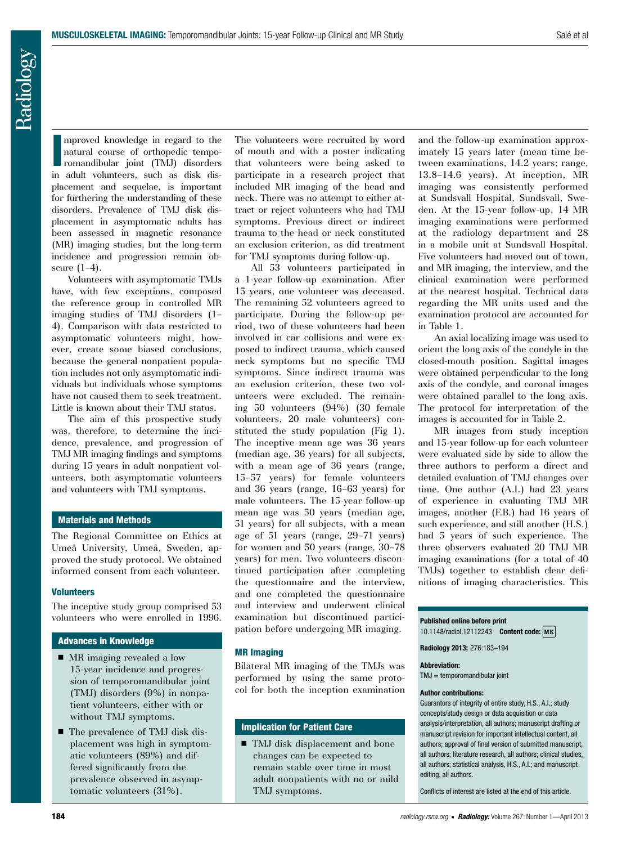Radiology

mproved knowledge in regard to the<br>natural course of orthopedic tempo-<br>romandibular joint (TMJ) disorders<br>in adult volunteers, such as disk dismproved knowledge in regard to the natural course of orthopedic temporomandibular joint (TMJ) disorders placement and sequelae, is important for furthering the understanding of these disorders. Prevalence of TMJ disk displacement in asymptomatic adults has been assessed in magnetic resonance (MR) imaging studies, but the long-term incidence and progression remain obscure (1–4).

Volunteers with asymptomatic TMJs have, with few exceptions, composed the reference group in controlled MR imaging studies of TMJ disorders (1– 4). Comparison with data restricted to asymptomatic volunteers might, however, create some biased conclusions, because the general nonpatient population includes not only asymptomatic individuals but individuals whose symptoms have not caused them to seek treatment. Little is known about their TMJ status.

The aim of this prospective study was, therefore, to determine the incidence, prevalence, and progression of TMJ MR imaging findings and symptoms during 15 years in adult nonpatient volunteers, both asymptomatic volunteers and volunteers with TMJ symptoms.

## Materials and Methods

The Regional Committee on Ethics at Umeå University, Umeå, Sweden, approved the study protocol. We obtained informed consent from each volunteer.

### **Volunteers**

The inceptive study group comprised 53 volunteers who were enrolled in 1996.

# Advances in Knowledge

- MR imaging revealed a low 15-year incidence and progression of temporomandibular joint (TMJ) disorders (9%) in nonpatient volunteers, either with or without TMJ symptoms.
- The prevalence of TMJ disk displacement was high in symptomatic volunteers (89%) and differed significantly from the prevalence observed in asymptomatic volunteers (31%).

The volunteers were recruited by word of mouth and with a poster indicating that volunteers were being asked to participate in a research project that included MR imaging of the head and neck. There was no attempt to either attract or reject volunteers who had TMJ symptoms. Previous direct or indirect trauma to the head or neck constituted an exclusion criterion, as did treatment for TMJ symptoms during follow-up.

All 53 volunteers participated in a 1-year follow-up examination. After 15 years, one volunteer was deceased. The remaining 52 volunteers agreed to participate. During the follow-up period, two of these volunteers had been involved in car collisions and were exposed to indirect trauma, which caused neck symptoms but no specific TMJ symptoms. Since indirect trauma was an exclusion criterion, these two volunteers were excluded. The remaining 50 volunteers (94%) (30 female volunteers, 20 male volunteers) constituted the study population (Fig 1). The inceptive mean age was 36 years (median age, 36 years) for all subjects, with a mean age of 36 years (range, 15–57 years) for female volunteers and 36 years (range, 16–63 years) for male volunteers. The 15-year follow-up mean age was 50 years (median age, 51 years) for all subjects, with a mean age of 51 years (range, 29–71 years) for women and 50 years (range, 30–78 years) for men. Two volunteers discontinued participation after completing the questionnaire and the interview, and one completed the questionnaire and interview and underwent clinical examination but discontinued participation before undergoing MR imaging.

## MR Imaging

Bilateral MR imaging of the TMJs was performed by using the same protocol for both the inception examination

# Implication for Patient Care

■ TMJ disk displacement and bone changes can be expected to remain stable over time in most adult nonpatients with no or mild TMJ symptoms.

and the follow-up examination approximately 15 years later (mean time between examinations, 14.2 years; range, 13.8–14.6 years). At inception, MR imaging was consistently performed at Sundsvall Hospital, Sundsvall, Sweden. At the 15-year follow-up, 14 MR imaging examinations were performed at the radiology department and 28 in a mobile unit at Sundsvall Hospital. Five volunteers had moved out of town, and MR imaging, the interview, and the clinical examination were performed at the nearest hospital. Technical data regarding the MR units used and the examination protocol are accounted for in Table 1.

An axial localizing image was used to orient the long axis of the condyle in the closed-mouth position. Sagittal images were obtained perpendicular to the long axis of the condyle, and coronal images were obtained parallel to the long axis. The protocol for interpretation of the images is accounted for in Table 2.

MR images from study inception and 15-year follow-up for each volunteer were evaluated side by side to allow the three authors to perform a direct and detailed evaluation of TMJ changes over time. One author (A.I.) had 23 years of experience in evaluating TMJ MR images, another (F.B.) had 16 years of such experience, and still another (H.S.) had 5 years of such experience. The three observers evaluated 20 TMJ MR imaging examinations (for a total of 40 TMJs) together to establish clear definitions of imaging characteristics. This

## **Published online before print**

10.1148/radiol.12112243 **Content code:**

**Radiology 2013;** 276:183–194

**Abbreviation:**

 $TMJ = temporomandibular joint$ 

#### **Author contributions:**

Guarantors of integrity of entire study, H.S., A.I.; study concepts/study design or data acquisition or data analysis/interpretation, all authors; manuscript drafting or manuscript revision for important intellectual content, all authors; approval of final version of submitted manuscript, all authors; literature research, all authors; clinical studies, all authors; statistical analysis, H.S., A.I.; and manuscript editing, all authors.

Conflicts of interest are listed at the end of this article.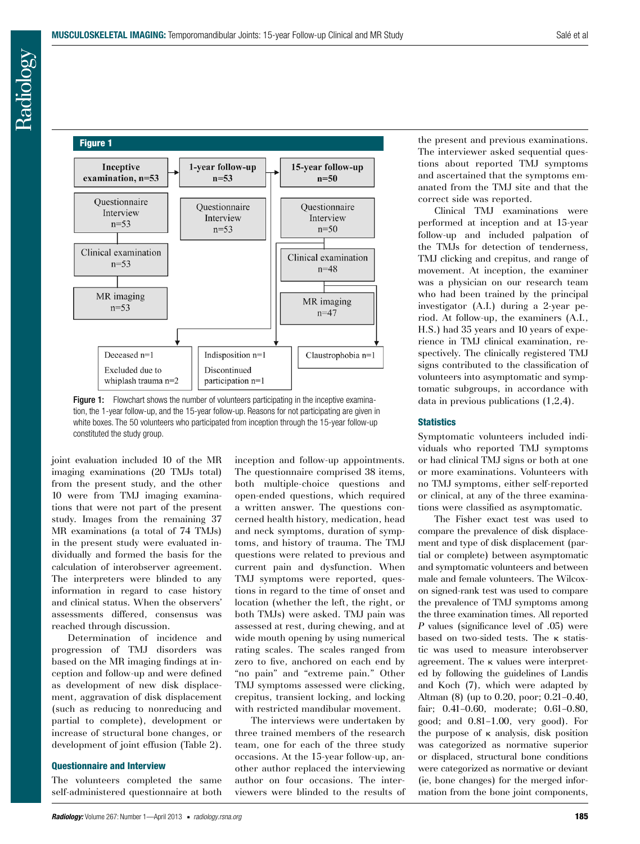

Figure 1: Flowchart shows the number of volunteers participating in the inceptive examination, the 1-year follow-up, and the 15-year follow-up. Reasons for not participating are given in white boxes. The 50 volunteers who participated from inception through the 15-year follow-up constituted the study group.

joint evaluation included 10 of the MR imaging examinations (20 TMJs total) from the present study, and the other 10 were from TMJ imaging examinations that were not part of the present study. Images from the remaining 37 MR examinations (a total of 74 TMJs) in the present study were evaluated individually and formed the basis for the calculation of interobserver agreement. The interpreters were blinded to any information in regard to case history and clinical status. When the observers' assessments differed, consensus was reached through discussion.

Determination of incidence and progression of TMJ disorders was based on the MR imaging findings at inception and follow-up and were defined as development of new disk displacement, aggravation of disk displacement (such as reducing to nonreducing and partial to complete), development or increase of structural bone changes, or development of joint effusion (Table 2).

## Questionnaire and Interview

The volunteers completed the same self-administered questionnaire at both inception and follow-up appointments. The questionnaire comprised 38 items, both multiple-choice questions and open-ended questions, which required a written answer. The questions concerned health history, medication, head and neck symptoms, duration of symptoms, and history of trauma. The TMJ questions were related to previous and current pain and dysfunction. When TMJ symptoms were reported, questions in regard to the time of onset and location (whether the left, the right, or both TMJs) were asked. TMJ pain was assessed at rest, during chewing, and at wide mouth opening by using numerical rating scales. The scales ranged from zero to five, anchored on each end by "no pain" and "extreme pain." Other TMJ symptoms assessed were clicking, crepitus, transient locking, and locking with restricted mandibular movement.

The interviews were undertaken by three trained members of the research team, one for each of the three study occasions. At the 15-year follow-up, another author replaced the interviewing author on four occasions. The interviewers were blinded to the results of the present and previous examinations. The interviewer asked sequential questions about reported TMJ symptoms and ascertained that the symptoms emanated from the TMJ site and that the correct side was reported.

Clinical TMJ examinations were performed at inception and at 15-year follow-up and included palpation of the TMJs for detection of tenderness, TMJ clicking and crepitus, and range of movement. At inception, the examiner was a physician on our research team who had been trained by the principal investigator (A.I.) during a 2-year period. At follow-up, the examiners (A.I., H.S.) had 35 years and 10 years of experience in TMJ clinical examination, respectively. The clinically registered TMJ signs contributed to the classification of volunteers into asymptomatic and symptomatic subgroups, in accordance with data in previous publications (1,2,4).

## **Statistics**

Symptomatic volunteers included individuals who reported TMJ symptoms or had clinical TMJ signs or both at one or more examinations. Volunteers with no TMJ symptoms, either self-reported or clinical, at any of the three examinations were classified as asymptomatic.

The Fisher exact test was used to compare the prevalence of disk displacement and type of disk displacement (partial or complete) between asymptomatic and symptomatic volunteers and between male and female volunteers. The Wilcoxon signed-rank test was used to compare the prevalence of TMJ symptoms among the three examination times. All reported *P* values (significance level of .05) were based on two-sided tests. The  $\kappa$  statistic was used to measure interobserver agreement. The  $\kappa$  values were interpreted by following the guidelines of Landis and Koch (7), which were adapted by Altman (8) (up to 0.20, poor; 0.21–0.40, fair; 0.41–0.60, moderate; 0.61–0.80, good; and 0.81–1.00, very good). For the purpose of  $\kappa$  analysis, disk position was categorized as normative superior or displaced, structural bone conditions were categorized as normative or deviant (ie, bone changes) for the merged information from the bone joint components,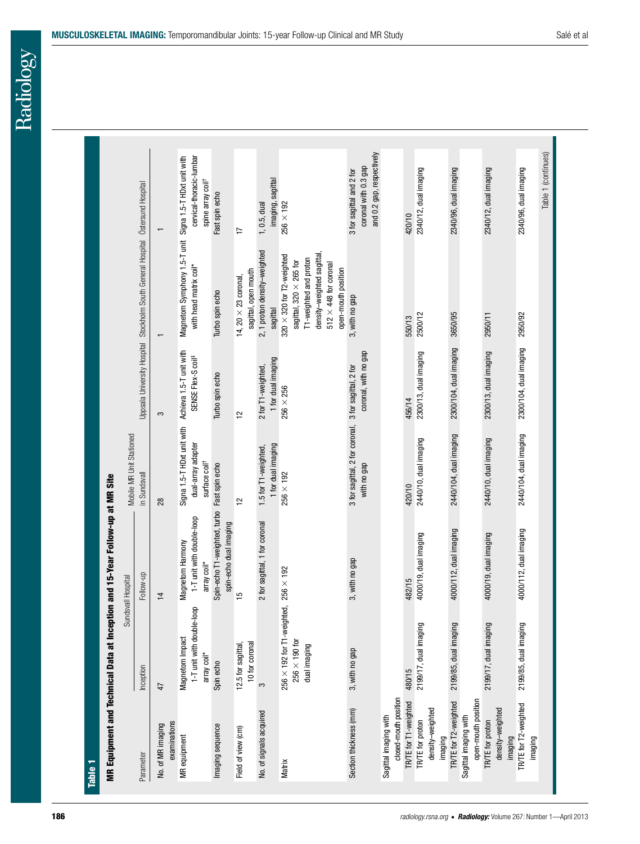| MR Equipment and Technical Data at Incepti                            |                                                                                            | on and 15-Year Follow-up at MR Site                                   |                                                                                                       |                                          |                                                                                                                                                                                   |                                                                               |
|-----------------------------------------------------------------------|--------------------------------------------------------------------------------------------|-----------------------------------------------------------------------|-------------------------------------------------------------------------------------------------------|------------------------------------------|-----------------------------------------------------------------------------------------------------------------------------------------------------------------------------------|-------------------------------------------------------------------------------|
|                                                                       |                                                                                            | Sundsvall Hospital                                                    | Mobile MR Unit Stationed                                                                              |                                          |                                                                                                                                                                                   |                                                                               |
| Parameter                                                             | Inception                                                                                  | Follow-up                                                             | in Sundsvall                                                                                          |                                          | Uppsala University Hospital Stockholm South General Hospital Östersund Hospital                                                                                                   |                                                                               |
| examinations<br>No. of MR imaging                                     | 47                                                                                         | $\frac{4}{3}$                                                         | 28                                                                                                    | 3                                        |                                                                                                                                                                                   | $\overline{ }$                                                                |
| <b>MR</b> equipment                                                   | 1-T unit with double-loop<br>Magnetom Impact<br>array coil*                                | 1-T unit with double-loop<br>Magnetom Harmony<br>array coil*          | Signa 1.5-T HDxt unit with Achieva 1.5-T unit with<br>dual-array adapter<br>surface coil <sup>†</sup> | SENSE Flex-S coll <sup>‡</sup>           | Magnetom Symphony 1.5-T unit Signa 1.5-T HDxt unit with<br>with head matrix coil*                                                                                                 | cervical-thoracic-lumbar<br>spine array coil <sup>t</sup>                     |
| Imaging sequence                                                      | Spin echo                                                                                  | Spin-echo T1-weighted, turbo Fast spin echo<br>spin-echo dual imaging |                                                                                                       | Turbo spin echo                          | Turbo spin echo                                                                                                                                                                   | Fast spin echo                                                                |
| Field of view (cm)                                                    | 10 for coronal<br>12.5 for sagittal,                                                       |                                                                       | $\tilde{c}$                                                                                           | $\tilde{c}$                              | sagittal, open mouth<br>14, 20 $\times$ 23 coronal,                                                                                                                               | $\overline{1}$                                                                |
| No. of signals acquired                                               | 3                                                                                          | 2 for sagittal, 1 for coronal                                         | 1 for dual imaging<br>1.5 for T1-weighted,                                                            | 1 for dual imaging<br>2 for T1-weighted, | 2, 1 proton density-weighted<br>sagittal                                                                                                                                          | imaging, sagittal<br>$1, 0.5,$ dual                                           |
| Matrix                                                                | $256 \times 192$ for T1-weighted, $256 \times 192$<br>$256 \times 190$ for<br>dual imaging |                                                                       | $256 \times 192$                                                                                      | $256 \times 256$                         | density-weighted sagittal,<br>$320 \times 320$ for T2-weighted<br>T1-weighted and proton<br>sagittal, $320 \times 265$ for<br>$512 \times 448$ for coronal<br>open-mouth position | $256 \times 192$                                                              |
| Section thickness (mm)                                                | 3, with no gap                                                                             | 3, with no gap                                                        | 3 for sagittal, 2 for coronal, 3 for sagittal, 2 for<br>with no gap                                   | coronal, with no gap                     | 3, with no gap                                                                                                                                                                    | and 0.2 gap, respectively<br>coronal with 0.3 gap<br>3 for sagittal and 2 for |
| closed-mouth position<br>Sagittal imaging with                        |                                                                                            |                                                                       |                                                                                                       |                                          |                                                                                                                                                                                   |                                                                               |
| TR/TE for T1-weighted                                                 | 480/15                                                                                     | 482/15                                                                | 420/10                                                                                                | 456/14                                   | 550/13                                                                                                                                                                            | 420/10                                                                        |
| density-weighted<br>TR/TE for proton<br>imaging                       | 2199/17, dual imaging                                                                      | 4000/19, dual imaging                                                 | 2440/10, dual imaging                                                                                 | 2300/13, dual imaging                    | 2500/12                                                                                                                                                                           | 2340/12, dual imaging                                                         |
| open-mouth position<br>TR/TE for T2-weighted<br>Sagittal imaging with | 2199/85, dual imaging                                                                      | 4000/112, dual imaging                                                | 2440/104, dual imaging                                                                                | 2300/104, dual imaging                   | 3650/95                                                                                                                                                                           | 2340/96, dual imaging                                                         |
| density-weighted<br>TR/TE for proton<br>imaging                       | 2199/17, dual imaging                                                                      | 4000/19, dual imaging                                                 | 2440/10, dual imaging                                                                                 | 2300/13, dual imaging                    | 2950/11                                                                                                                                                                           | 2340/12, dual imaging                                                         |
| TR/TE for T2-weighted<br>imaging                                      | 2199/85, dual imaging                                                                      | 4000/112, dual imaging                                                | 2440/104, dual imaging                                                                                | 2300/104, dual imaging                   | 2950/92                                                                                                                                                                           | 2340/96, dual imaging                                                         |
|                                                                       |                                                                                            |                                                                       |                                                                                                       |                                          |                                                                                                                                                                                   | Table 1 (continues)                                                           |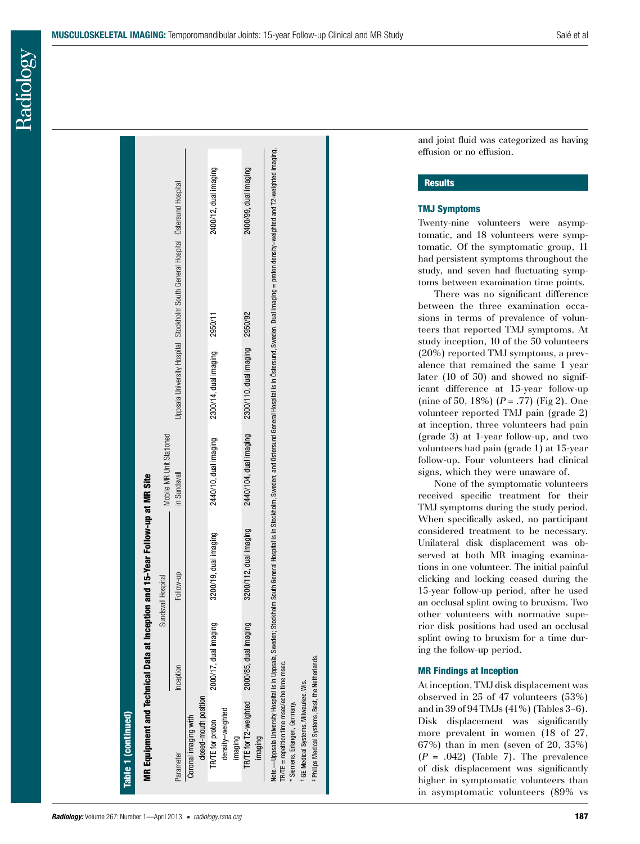| Table 1 (continued)                                                           |                       |                                                                               |                          |                                |                                                                                                                                                                                                                         |                       |
|-------------------------------------------------------------------------------|-----------------------|-------------------------------------------------------------------------------|--------------------------|--------------------------------|-------------------------------------------------------------------------------------------------------------------------------------------------------------------------------------------------------------------------|-----------------------|
|                                                                               |                       | MR Equipment and Technical Data at Inception and 15-Year Follow-up at MR Site |                          |                                |                                                                                                                                                                                                                         |                       |
|                                                                               |                       | Sundsvall Hospital                                                            | Mobile MR Unit Stationed |                                |                                                                                                                                                                                                                         |                       |
| Parameter                                                                     | Inception             | Follow-up                                                                     | in Sundsvall             |                                | Uppsala University Hospital Stockholm South General Hospital Östersund Hospital                                                                                                                                         |                       |
| closed-mouth position<br>Coronal imaging with                                 |                       |                                                                               |                          |                                |                                                                                                                                                                                                                         |                       |
| density-weighted<br>TR/TE for proton<br>imaging                               | 2000/17, dual imaging | 3200/19, dual imaging                                                         | 2440/10, dual imaging    | 2300/14, dual imaging          | 2950/11                                                                                                                                                                                                                 | 2400/12, dual imaging |
| TR/TE for T2-weighted<br>imaging                                              | 2000/85, dual imaging | 3200/112, dual imaging                                                        | 2440/104, dual imaging   | 2300/110, dual imaging 2950/92 |                                                                                                                                                                                                                         | 2400/99, dual imaging |
| TR/TE = repetition time msec/echo time msec.<br>* Siemens, Erlangen, Germany. |                       |                                                                               |                          |                                | Note.—Uppsala University Hospital is in Uppsala, Sweden; Stockholm, South General is in Sweden; and Östersund General Hospital is in Östersund, Sweden. Dual imaging = proton density–weighted and T2-weighted imaging, |                       |
| t GE Medical Systems, Milwaukee, Wis.                                         |                       |                                                                               |                          |                                |                                                                                                                                                                                                                         |                       |
| # Philips Medical Systems, Best, the Netherlands.                             |                       |                                                                               |                          |                                |                                                                                                                                                                                                                         |                       |

and joint fluid was categorized as having effusion or no effusion.

# **Results**

# TMJ Symptoms

Twenty-nine volunteers were asymp tomatic, and 18 volunteers were symp tomatic. Of the symptomatic group, 11 had persistent symptoms throughout the study, and seven had fluctuating symp toms between examination time points.

There was no significant difference between the three examination occa sions in terms of prevalence of volun teers that reported TMJ symptoms. At study inception, 10 of the 50 volunteers (20%) reported TMJ symptoms, a prev alence that remained the same 1 year later (10 of 50) and showed no significant difference at 15-year follow-up (nine of 50, 18%)  $(P = .77)$  (Fig 2). One volunteer reported TMJ pain (grade 2) at inception, three volunteers had pain (grade 3) at 1-year follow-up, and two volunteers had pain (grade 1) at 15-year follow-up. Four volunteers had clinical signs, which they were unaware of.

None of the symptomatic volunteers received specific treatment for their TMJ symptoms during the study period. When specifically asked, no participant considered treatment to be necessary. Unilateral disk displacement was observed at both MR imaging examina tions in one volunteer. The initial painful clicking and locking ceased during the 15-year follow-up period, after he used an occlusal splint owing to bruxism. Two other volunteers with normative supe rior disk positions had used an occlusal splint owing to bruxism for a time dur ing the follow-up period.

# MR Findings at Inception

At inception, TMJ disk displacement was observed in 25 of 47 volunteers (53%) and in 39 of 94 TMJs (41%) (Tables 3–6). Disk displacement was significantly more prevalent in women (18 of 27, 67%) than in men (seven of 20, 35%) (*P* = .042) (Table 7). The prevalence of disk displacement was significantly higher in symptomatic volunteers than in asymptomatic volunteers (89% vs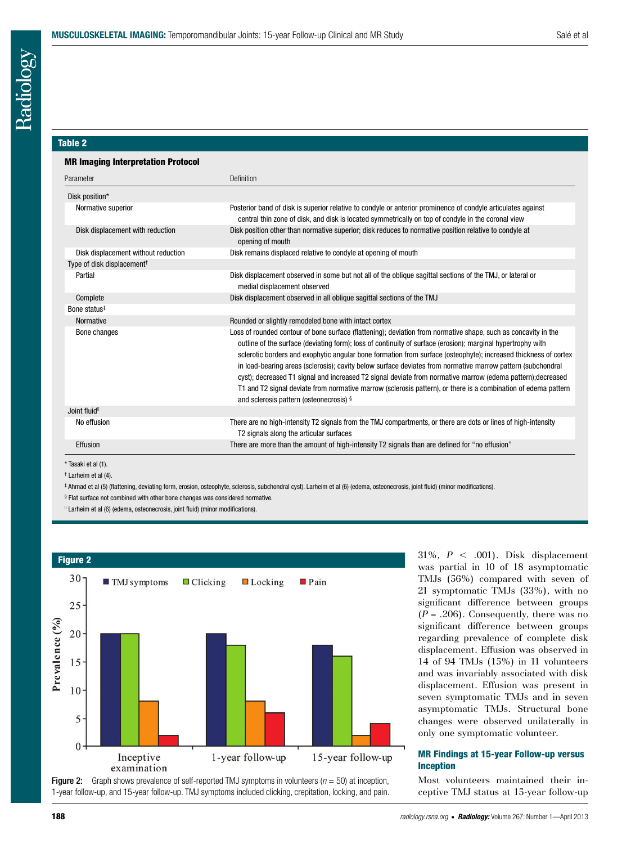## Table 2

## MR Imaging Interpretation Protocol

| Parameter                              | Definition                                                                                                                                                                                                                                                                                                                                                                                                                                                                                                                                                                                                                                                                                                                                  |
|----------------------------------------|---------------------------------------------------------------------------------------------------------------------------------------------------------------------------------------------------------------------------------------------------------------------------------------------------------------------------------------------------------------------------------------------------------------------------------------------------------------------------------------------------------------------------------------------------------------------------------------------------------------------------------------------------------------------------------------------------------------------------------------------|
| Disk position*                         |                                                                                                                                                                                                                                                                                                                                                                                                                                                                                                                                                                                                                                                                                                                                             |
| Normative superior                     | Posterior band of disk is superior relative to condyle or anterior prominence of condyle articulates against<br>central thin zone of disk, and disk is located symmetrically on top of condyle in the coronal view                                                                                                                                                                                                                                                                                                                                                                                                                                                                                                                          |
| Disk displacement with reduction       | Disk position other than normative superior; disk reduces to normative position relative to condyle at<br>opening of mouth                                                                                                                                                                                                                                                                                                                                                                                                                                                                                                                                                                                                                  |
| Disk displacement without reduction    | Disk remains displaced relative to condyle at opening of mouth                                                                                                                                                                                                                                                                                                                                                                                                                                                                                                                                                                                                                                                                              |
| Type of disk displacement <sup>†</sup> |                                                                                                                                                                                                                                                                                                                                                                                                                                                                                                                                                                                                                                                                                                                                             |
| Partial                                | Disk displacement observed in some but not all of the oblique sagittal sections of the TMJ, or lateral or<br>medial displacement observed                                                                                                                                                                                                                                                                                                                                                                                                                                                                                                                                                                                                   |
| Complete                               | Disk displacement observed in all oblique sagittal sections of the TMJ                                                                                                                                                                                                                                                                                                                                                                                                                                                                                                                                                                                                                                                                      |
| Bone status <sup>#</sup>               |                                                                                                                                                                                                                                                                                                                                                                                                                                                                                                                                                                                                                                                                                                                                             |
| <b>Normative</b>                       | Rounded or slightly remodeled bone with intact cortex                                                                                                                                                                                                                                                                                                                                                                                                                                                                                                                                                                                                                                                                                       |
| Bone changes                           | Loss of rounded contour of bone surface (flattening); deviation from normative shape, such as concavity in the<br>outline of the surface (deviating form); loss of continuity of surface (erosion); marginal hypertrophy with<br>sclerotic borders and exophytic angular bone formation from surface (osteophyte); increased thickness of cortex<br>in load-bearing areas (sclerosis); cavity below surface deviates from normative marrow pattern (subchondral<br>cyst); decreased T1 signal and increased T2 signal deviate from normative marrow (edema pattern); decreased<br>T1 and T2 signal deviate from normative marrow (sclerosis pattern), or there is a combination of edema pattern<br>and sclerosis pattern (osteonecrosis) § |
| Joint fluid <sup>II</sup>              |                                                                                                                                                                                                                                                                                                                                                                                                                                                                                                                                                                                                                                                                                                                                             |
| No effusion                            | There are no high-intensity T2 signals from the TMJ compartments, or there are dots or lines of high-intensity<br>T2 signals along the articular surfaces                                                                                                                                                                                                                                                                                                                                                                                                                                                                                                                                                                                   |
| Effusion                               | There are more than the amount of high-intensity T2 signals than are defined for "no effusion"                                                                                                                                                                                                                                                                                                                                                                                                                                                                                                                                                                                                                                              |

† Larheim et al (4).

‡ Ahmad et al (5) (flattening, deviating form, erosion, osteophyte, sclerosis, subchondral cyst). Larheim et al (6) (edema, osteonecrosis, joint fluid) (minor modifications).

§ Flat surface not combined with other bone changes was considered normative.

|| Larheim et al (6) (edema, osteonecrosis, joint fluid) (minor modifications).



**Figure 2:** Graph shows prevalence of self-reported TMJ symptoms in volunteers ( $n = 50$ ) at inception, 1-year follow-up, and 15-year follow-up. TMJ symptoms included clicking, crepitation, locking, and pain.  $31\%$ ,  $P \leq .001$ ). Disk displacement was partial in 10 of 18 asymptomatic TMJs (56%) compared with seven of 21 symptomatic TMJs (33%), with no significant difference between groups (*P* = .206). Consequently, there was no significant difference between groups regarding prevalence of complete disk displacement. Effusion was observed in 14 of 94 TMJs (15%) in 11 volunteers and was invariably associated with disk displacement. Effusion was present in seven symptomatic TMJs and in seven asymptomatic TMJs. Structural bone changes were observed unilaterally in only one symptomatic volunteer.

# MR Findings at 15-year Follow-up versus Inception

Most volunteers maintained their inceptive TMJ status at 15-year follow-up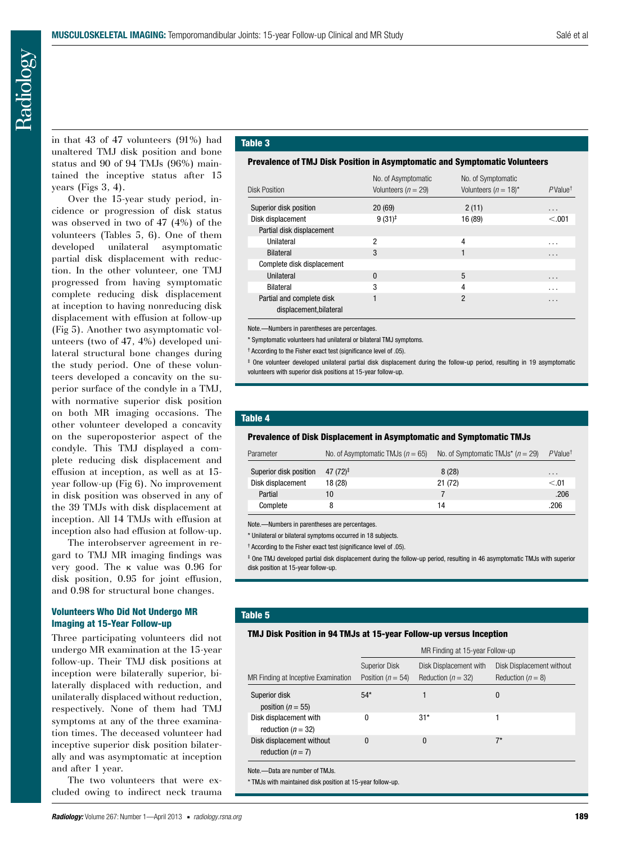Radiology

in that 43 of 47 volunteers (91%) had unaltered TMJ disk position and bone status and 90 of 94 TMJs (96%) maintained the inceptive status after 15 years (Figs 3, 4).

Over the 15-year study period, incidence or progression of disk status was observed in two of 47 (4%) of the volunteers (Tables 5, 6). One of them developed unilateral asymptomatic partial disk displacement with reduction. In the other volunteer, one TMJ progressed from having symptomatic complete reducing disk displacement at inception to having nonreducing disk displacement with effusion at follow-up (Fig 5). Another two asymptomatic volunteers (two of 47, 4%) developed unilateral structural bone changes during the study period. One of these volunteers developed a concavity on the superior surface of the condyle in a TMJ, with normative superior disk position on both MR imaging occasions. The other volunteer developed a concavity on the superoposterior aspect of the condyle. This TMJ displayed a complete reducing disk displacement and effusion at inception, as well as at 15 year follow-up (Fig 6). No improvement in disk position was observed in any of the 39 TMJs with disk displacement at inception. All 14 TMJs with effusion at inception also had effusion at follow-up.

The interobserver agreement in regard to TMJ MR imaging findings was very good. The k value was 0.96 for disk position, 0.95 for joint effusion, and 0.98 for structural bone changes.

# Volunteers Who Did Not Undergo MR Imaging at 15-Year Follow-up

Three participating volunteers did not undergo MR examination at the 15-year follow-up. Their TMJ disk positions at inception were bilaterally superior, bilaterally displaced with reduction, and unilaterally displaced without reduction, respectively. None of them had TMJ symptoms at any of the three examination times. The deceased volunteer had inceptive superior disk position bilaterally and was asymptomatic at inception and after 1 year.

The two volunteers that were excluded owing to indirect neck trauma

# Table 3

# Prevalence of TMJ Disk Position in Asymptomatic and Symptomatic Volunteers

|                                                      | No. of Asymptomatic     | No. of Symptomatic       |                        |
|------------------------------------------------------|-------------------------|--------------------------|------------------------|
| <b>Disk Position</b>                                 | Volunteers ( $n = 29$ ) | Volunteers ( $n = 18$ )* | $P$ Value <sup>t</sup> |
| Superior disk position                               | 20(69)                  | 2(11)                    | $\cdots$               |
| Disk displacement                                    | $9(31)^{\ddagger}$      | 16 (89)                  | < 0.01                 |
| Partial disk displacement                            |                         |                          |                        |
| Unilateral                                           | 2                       | 4                        | .                      |
| <b>Bilateral</b>                                     | 3                       |                          | .                      |
| Complete disk displacement                           |                         |                          |                        |
| Unilateral                                           | $\mathbf{0}$            | 5                        | .                      |
| Bilateral                                            | 3                       | 4                        | .                      |
| Partial and complete disk<br>displacement, bilateral |                         | $\overline{2}$           | .                      |

Note.—Numbers in parentheses are percentages.

\* Symptomatic volunteers had unilateral or bilateral TMJ symptoms.

† According to the Fisher exact test (significance level of .05).

‡ One volunteer developed unilateral partial disk displacement during the follow-up period, resulting in 19 asymptomatic volunteers with superior disk positions at 15-year follow-up.

## Table 4

## Prevalence of Disk Displacement in Asymptomatic and Symptomatic TMJs

| Parameter              | No. of Asymptomatic TMJs ( $n = 65$ ) | No. of Symptomatic TMJs* $(n = 29)$ | $P$ Value <sup>t</sup> |
|------------------------|---------------------------------------|-------------------------------------|------------------------|
| Superior disk position | $47(72)^{\ddagger}$                   | 8(28)                               | $\cdots$               |
| Disk displacement      | 18 (28)                               | 21(72)                              | < 01                   |
| Partial                | 10                                    |                                     | .206                   |
| Complete               |                                       | 14                                  | .206                   |

Note.—Numbers in parentheses are percentages.

\* Unilateral or bilateral symptoms occurred in 18 subjects.

† According to the Fisher exact test (significance level of .05).

‡ One TMJ developed partial disk displacement during the follow-up period, resulting in 46 asymptomatic TMJs with superior disk position at 15-year follow-up.

# Table 5

## TMJ Disk Position in 94 TMJs at 15-year Follow-up versus Inception

|                                                                                              |                                               | MR Finding at 15-year Follow-up                  |                                                    |
|----------------------------------------------------------------------------------------------|-----------------------------------------------|--------------------------------------------------|----------------------------------------------------|
| MR Finding at Inceptive Examination                                                          | <b>Superior Disk</b><br>Position ( $n = 54$ ) | Disk Displacement with<br>Reduction ( $n = 32$ ) | Disk Displacement without<br>Reduction ( $n = 8$ ) |
| Superior disk<br>position ( $n = 55$ )                                                       | $54*$                                         |                                                  | 0                                                  |
| Disk displacement with<br>reduction ( $n = 32$ )                                             | 0                                             | $31*$                                            |                                                    |
| Disk displacement without<br>reduction ( $n = 7$ )                                           | $\mathbf{0}$                                  | 0                                                | $7*$                                               |
| Note.—Data are number of TMJs.<br>* TMJs with maintained disk position at 15-year follow-up. |                                               |                                                  |                                                    |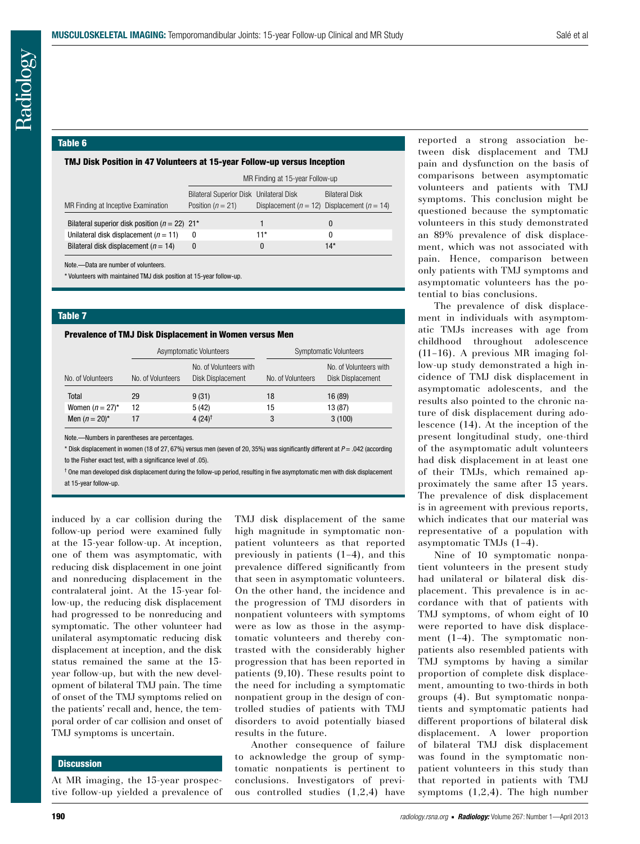# Table 6

TMJ Disk Position in 47 Volunteers at 15-year Follow-up versus Inception

|                                                               |                                                                  | MR Finding at 15-year Follow-up |                                                                              |
|---------------------------------------------------------------|------------------------------------------------------------------|---------------------------------|------------------------------------------------------------------------------|
| MR Finding at Inceptive Examination                           | Bilateral Superior Disk Unilateral Disk<br>Position ( $n = 21$ ) |                                 | <b>Bilateral Disk</b><br>Displacement ( $n = 12$ ) Displacement ( $n = 14$ ) |
| Bilateral superior disk position ( $n = 22$ ) 21 <sup>*</sup> |                                                                  |                                 | 0                                                                            |
| Unilateral disk displacement ( $n = 11$ )                     | 0                                                                | 11*                             | <sup>0</sup>                                                                 |
| Bilateral disk displacement ( $n = 14$ )                      | 0                                                                | $\bf{0}$                        | $14*$                                                                        |

Note.—Data are number of volunteers.

\* Volunteers with maintained TMJ disk position at 15-year follow-up.

## Table 7

## Prevalence of TMJ Disk Displacement in Women versus Men

|                    |                   | Asymptomatic Volunteers                     | <b>Symptomatic Volunteers</b> |                                             |
|--------------------|-------------------|---------------------------------------------|-------------------------------|---------------------------------------------|
| No. of Volunteers  | No. of Volunteers | No. of Volunteers with<br>Disk Displacement | No. of Volunteers             | No. of Volunteers with<br>Disk Displacement |
| Total              | 29                | 9(31)                                       | 18                            | 16 (89)                                     |
| Women $(n = 27)^*$ | 12                | 5(42)                                       | 15                            | 13 (87)                                     |
| Men $(n = 20)^*$   | 17                | 4 $(24)$ <sup>†</sup>                       | 3                             | 3(100)                                      |

Note.—Numbers in parentheses are percentages.

\* Disk displacement in women (18 of 27, 67%) versus men (seven of 20, 35%) was significantly different at *P* = .042 (according to the Fisher exact test, with a significance level of .05).

† One man developed disk displacement during the follow-up period, resulting in five asymptomatic men with disk displacement at 15-year follow-up.

induced by a car collision during the follow-up period were examined fully at the 15-year follow-up. At inception, one of them was asymptomatic, with reducing disk displacement in one joint and nonreducing displacement in the contralateral joint. At the 15-year follow-up, the reducing disk displacement had progressed to be nonreducing and symptomatic. The other volunteer had unilateral asymptomatic reducing disk displacement at inception, and the disk status remained the same at the 15 year follow-up, but with the new development of bilateral TMJ pain. The time of onset of the TMJ symptoms relied on the patients' recall and, hence, the temporal order of car collision and onset of TMJ symptoms is uncertain.

## **Discussion**

At MR imaging, the 15-year prospective follow-up yielded a prevalence of TMJ disk displacement of the same high magnitude in symptomatic nonpatient volunteers as that reported previously in patients (1–4), and this prevalence differed significantly from that seen in asymptomatic volunteers. On the other hand, the incidence and the progression of TMJ disorders in nonpatient volunteers with symptoms were as low as those in the asymptomatic volunteers and thereby contrasted with the considerably higher progression that has been reported in patients (9,10). These results point to the need for including a symptomatic nonpatient group in the design of controlled studies of patients with TMJ disorders to avoid potentially biased results in the future.

Another consequence of failure to acknowledge the group of symptomatic nonpatients is pertinent to conclusions. Investigators of previous controlled studies (1,2,4) have reported a strong association between disk displacement and TMJ pain and dysfunction on the basis of comparisons between asymptomatic volunteers and patients with TMJ symptoms. This conclusion might be questioned because the symptomatic volunteers in this study demonstrated an 89% prevalence of disk displacement, which was not associated with pain. Hence, comparison between only patients with TMJ symptoms and asymptomatic volunteers has the potential to bias conclusions.

The prevalence of disk displacement in individuals with asymptomatic TMJs increases with age from childhood throughout adolescence (11–16). A previous MR imaging follow-up study demonstrated a high incidence of TMJ disk displacement in asymptomatic adolescents, and the results also pointed to the chronic nature of disk displacement during adolescence (14). At the inception of the present longitudinal study, one-third of the asymptomatic adult volunteers had disk displacement in at least one of their TMJs, which remained approximately the same after 15 years. The prevalence of disk displacement is in agreement with previous reports, which indicates that our material was representative of a population with asymptomatic TMJs (1–4).

Nine of 10 symptomatic nonpatient volunteers in the present study had unilateral or bilateral disk displacement. This prevalence is in accordance with that of patients with TMJ symptoms, of whom eight of 10 were reported to have disk displacement (1–4). The symptomatic nonpatients also resembled patients with TMJ symptoms by having a similar proportion of complete disk displacement, amounting to two-thirds in both groups (4). But symptomatic nonpatients and symptomatic patients had different proportions of bilateral disk displacement. A lower proportion of bilateral TMJ disk displacement was found in the symptomatic nonpatient volunteers in this study than that reported in patients with TMJ symptoms (1,2,4). The high number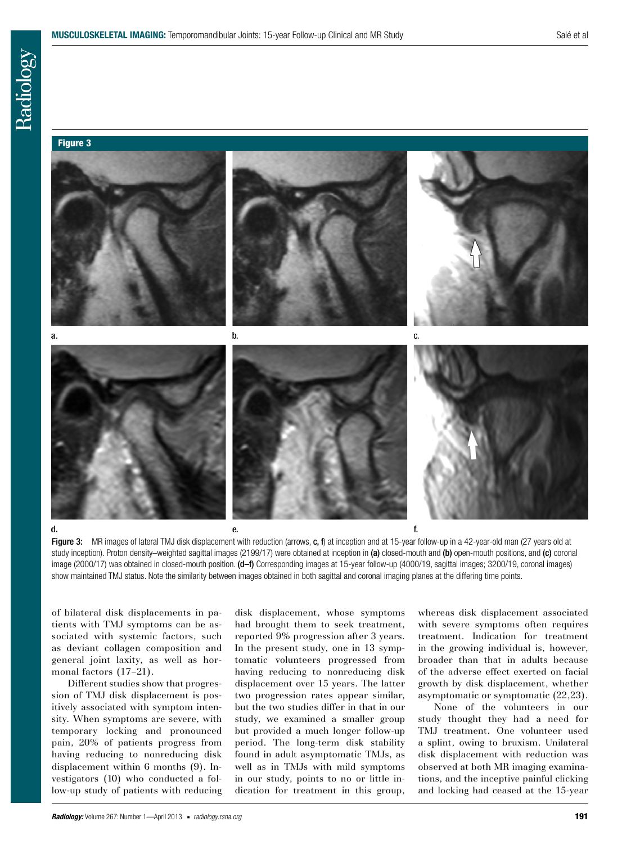## Figure 3



Figure 3: MR images of lateral TMJ disk displacement with reduction (arrows, c, f) at inception and at 15-year follow-up in a 42-year-old man (27 years old at study inception). Proton density–weighted sagittal images (2199/17) were obtained at inception in (a) closed-mouth and (b) open-mouth positions, and (c) coronal image (2000/17) was obtained in closed-mouth position. (d-f) Corresponding images at 15-year follow-up (4000/19, sagittal images; 3200/19, coronal images) show maintained TMJ status. Note the similarity between images obtained in both sagittal and coronal imaging planes at the differing time points.

of bilateral disk displacements in patients with TMJ symptoms can be associated with systemic factors, such as deviant collagen composition and general joint laxity, as well as hormonal factors (17–21).

Different studies show that progression of TMJ disk displacement is positively associated with symptom intensity. When symptoms are severe, with temporary locking and pronounced pain, 20% of patients progress from having reducing to nonreducing disk displacement within 6 months (9). Investigators (10) who conducted a follow-up study of patients with reducing disk displacement, whose symptoms had brought them to seek treatment, reported 9% progression after 3 years. In the present study, one in 13 symptomatic volunteers progressed from having reducing to nonreducing disk displacement over 15 years. The latter two progression rates appear similar, but the two studies differ in that in our study, we examined a smaller group but provided a much longer follow-up period. The long-term disk stability found in adult asymptomatic TMJs, as well as in TMJs with mild symptoms in our study, points to no or little indication for treatment in this group, whereas disk displacement associated with severe symptoms often requires treatment. Indication for treatment in the growing individual is, however, broader than that in adults because of the adverse effect exerted on facial growth by disk displacement, whether asymptomatic or symptomatic (22,23).

None of the volunteers in our study thought they had a need for TMJ treatment. One volunteer used a splint, owing to bruxism. Unilateral disk displacement with reduction was observed at both MR imaging examinations, and the inceptive painful clicking and locking had ceased at the 15-year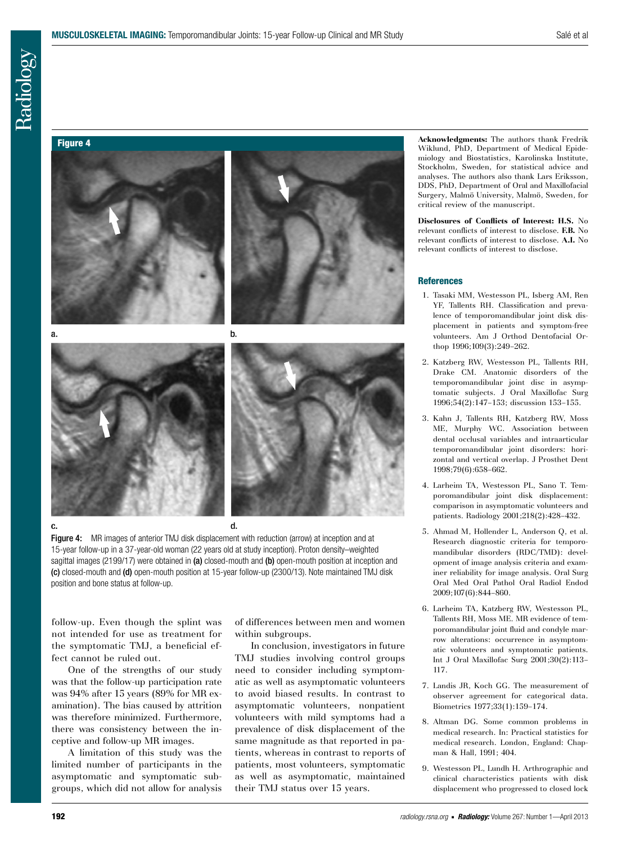## Figure 4



C.

d.

Figure 4: MR images of anterior TMJ disk displacement with reduction (arrow) at inception and at 15-year follow-up in a 37-year-old woman (22 years old at study inception). Proton density–weighted sagittal images (2199/17) were obtained in (a) closed-mouth and (b) open-mouth position at inception and (c) closed-mouth and (d) open-mouth position at 15-year follow-up (2300/13). Note maintained TMJ disk position and bone status at follow-up.

follow-up. Even though the splint was not intended for use as treatment for the symptomatic TMJ, a beneficial effect cannot be ruled out.

One of the strengths of our study was that the follow-up participation rate was 94% after 15 years (89% for MR examination). The bias caused by attrition was therefore minimized. Furthermore, there was consistency between the inceptive and follow-up MR images.

A limitation of this study was the limited number of participants in the asymptomatic and symptomatic subgroups, which did not allow for analysis of differences between men and women within subgroups.

In conclusion, investigators in future TMJ studies involving control groups need to consider including symptomatic as well as asymptomatic volunteers to avoid biased results. In contrast to asymptomatic volunteers, nonpatient volunteers with mild symptoms had a prevalence of disk displacement of the same magnitude as that reported in patients, whereas in contrast to reports of patients, most volunteers, symptomatic as well as asymptomatic, maintained their TMJ status over 15 years.

**Acknowledgments:** The authors thank Fredrik Wiklund, PhD, Department of Medical Epidemiology and Biostatistics, Karolinska Institute, Stockholm, Sweden, for statistical advice and analyses. The authors also thank Lars Eriksson, DDS, PhD, Department of Oral and Maxillofacial Surgery, Malmö University, Malmö, Sweden, for critical review of the manuscript.

**Disclosures of Conflicts of Interest: H.S.** No relevant conflicts of interest to disclose. **F.B.** No relevant conflicts of interest to disclose. **A.I.** No relevant conflicts of interest to disclose.

## **References**

- 1. Tasaki MM, Westesson PL, Isberg AM, Ren YF, Tallents RH. Classification and prevalence of temporomandibular joint disk displacement in patients and symptom-free volunteers. Am J Orthod Dentofacial Orthop 1996;109(3):249–262.
- 2. Katzberg RW, Westesson PL, Tallents RH, Drake CM. Anatomic disorders of the temporomandibular joint disc in asymptomatic subjects. J Oral Maxillofac Surg 1996;54(2):147–153; discussion 153–155.
- 3. Kahn J, Tallents RH, Katzberg RW, Moss ME, Murphy WC. Association between dental occlusal variables and intraarticular temporomandibular joint disorders: horizontal and vertical overlap. J Prosthet Dent 1998;79(6):658–662.
- 4. Larheim TA, Westesson PL, Sano T. Temporomandibular joint disk displacement: comparison in asymptomatic volunteers and patients. Radiology 2001;218(2):428–432.
- 5. Ahmad M, Hollender L, Anderson Q, et al. Research diagnostic criteria for temporomandibular disorders (RDC/TMD): development of image analysis criteria and examiner reliability for image analysis. Oral Surg Oral Med Oral Pathol Oral Radiol Endod 2009;107(6):844–860.
- 6. Larheim TA, Katzberg RW, Westesson PL, Tallents RH, Moss ME. MR evidence of temporomandibular joint fluid and condyle marrow alterations: occurrence in asymptomatic volunteers and symptomatic patients. Int J Oral Maxillofac Surg 2001;30(2):113– 117.
- 7. Landis JR, Koch GG. The measurement of observer agreement for categorical data. Biometrics 1977;33(1):159–174.
- 8. Altman DG. Some common problems in medical research. In: Practical statistics for medical research. London, England: Chapman & Hall, 1991; 404.
- 9. Westesson PL, Lundh H. Arthrographic and clinical characteristics patients with disk displacement who progressed to closed lock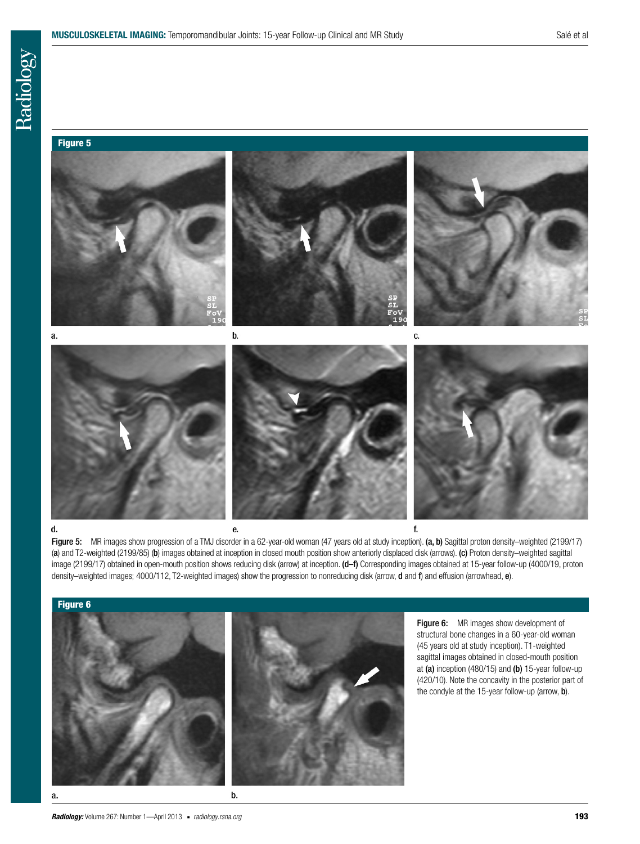# Figure 5



d.

e. f. Figure 5: MR images show progression of a TMJ disorder in a 62-year-old woman (47 years old at study inception). (a, b) Sagittal proton density–weighted (2199/17) (a) and T2-weighted (2199/85) (b) images obtained at inception in closed mouth position show anteriorly displaced disk (arrows). (c) Proton density–weighted sagittal image (2199/17) obtained in open-mouth position shows reducing disk (arrow) at inception. (d-f) Corresponding images obtained at 15-year follow-up (4000/19, proton density-weighted images; 4000/112, T2-weighted images) show the progression to nonreducing disk (arrow, d and f) and effusion (arrowhead, e).







Figure 6: MR images show development of structural bone changes in a 60-year-old woman (45 years old at study inception). T1-weighted sagittal images obtained in closed-mouth position at (a) inception (480/15) and (b) 15-year follow-up (420/10). Note the concavity in the posterior part of the condyle at the 15-year follow-up (arrow, b).